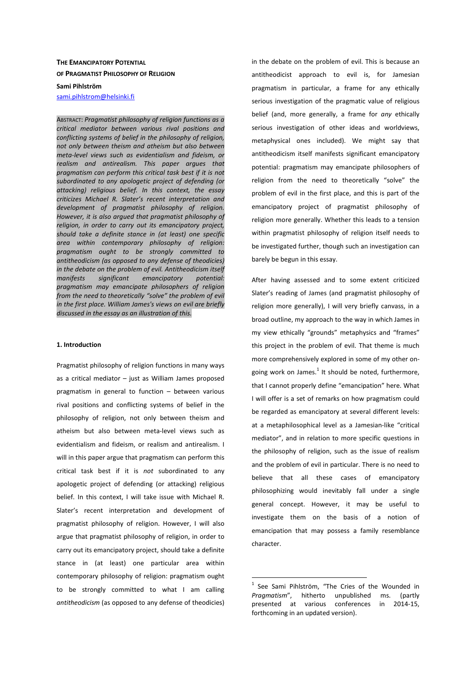# **THE EMANCIPATORY POTENTIAL OF PRAGMATIST PHILOSOPHY OF RELIGION**

**Sami Pihlström** 

sami.pihlstrom@helsinki.fi

ABSTRACT: *Pragmatist philosophy of religion functions as a critical mediator between various rival positions and conflicting systems of belief in the philosophy of religion, not only between theism and atheism but also between meta-level views such as evidentialism and fideism, or realism and antirealism. This paper argues that pragmatism can perform this critical task best if it is not subordinated to any apologetic project of defending (or attacking) religious belief. In this context, the essay criticizes Michael R. Slater's recent interpretation and development of pragmatist philosophy of religion. However, it is also argued that pragmatist philosophy of religion, in order to carry out its emancipatory project, should take a definite stance in (at least) one specific area within contemporary philosophy of religion: pragmatism ought to be strongly committed to antitheodicism (as opposed to any defense of theodicies) in the debate on the problem of evil. Antitheodicism itself manifests significant emancipatory potential: pragmatism may emancipate philosophers of religion from the need to theoretically "solve" the problem of evil in the first place. William James's views on evil are briefly discussed in the essay as an illustration of this.* 

### **1. Introduction**

Pragmatist philosophy of religion functions in many ways as a critical mediator – just as William James proposed pragmatism in general to function – between various rival positions and conflicting systems of belief in the philosophy of religion, not only between theism and atheism but also between meta-level views such as evidentialism and fideism, or realism and antirealism. I will in this paper argue that pragmatism can perform this critical task best if it is *not* subordinated to any apologetic project of defending (or attacking) religious belief. In this context, I will take issue with Michael R. Slater's recent interpretation and development of pragmatist philosophy of religion. However, I will also argue that pragmatist philosophy of religion, in order to carry out its emancipatory project, should take a definite stance in (at least) one particular area within contemporary philosophy of religion: pragmatism ought to be strongly committed to what I am calling *antitheodicism* (as opposed to any defense of theodicies)

in the debate on the problem of evil. This is because an antitheodicist approach to evil is, for Jamesian pragmatism in particular, a frame for any ethically serious investigation of the pragmatic value of religious belief (and, more generally, a frame for *any* ethically serious investigation of other ideas and worldviews, metaphysical ones included). We might say that antitheodicism itself manifests significant emancipatory potential: pragmatism may emancipate philosophers of religion from the need to theoretically "solve" the problem of evil in the first place, and this is part of the emancipatory project of pragmatist philosophy of religion more generally. Whether this leads to a tension within pragmatist philosophy of religion itself needs to be investigated further, though such an investigation can barely be begun in this essay.

After having assessed and to some extent criticized Slater's reading of James (and pragmatist philosophy of religion more generally), I will very briefly canvass, in a broad outline, my approach to the way in which James in my view ethically "grounds" metaphysics and "frames" this project in the problem of evil. That theme is much more comprehensively explored in some of my other ongoing work on James. $^{1}$  It should be noted, furthermore, that I cannot properly define "emancipation" here. What I will offer is a set of remarks on how pragmatism could be regarded as emancipatory at several different levels: at a metaphilosophical level as a Jamesian-like "critical mediator", and in relation to more specific questions in the philosophy of religion, such as the issue of realism and the problem of evil in particular. There is no need to believe that all these cases of emancipatory philosophizing would inevitably fall under a single general concept. However, it may be useful to investigate them on the basis of a notion of emancipation that may possess a family resemblance character.

 $1$  See Sami Pihlström, "The Cries of the Wounded in *Pragmatism*", hitherto unpublished ms. (partly presented at various conferences in 2014-15, forthcoming in an updated version).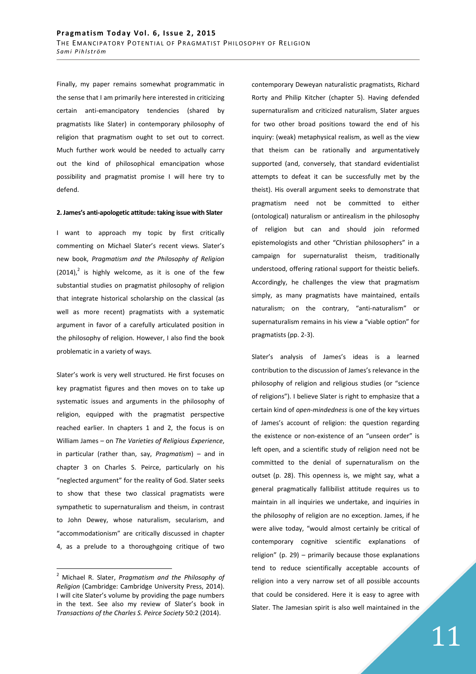Finally, my paper remains somewhat programmatic in the sense that I am primarily here interested in criticizing certain anti-emancipatory tendencies (shared by pragmatists like Slater) in contemporary philosophy of religion that pragmatism ought to set out to correct. Much further work would be needed to actually carry out the kind of philosophical emancipation whose possibility and pragmatist promise I will here try to defend.

#### **2. James's anti-apologetic attitude: taking issue with Slater**

I want to approach my topic by first critically commenting on Michael Slater's recent views. Slater's new book, *Pragmatism and the Philosophy of Religion*   $(2014)<sup>2</sup>$  is highly welcome, as it is one of the few substantial studies on pragmatist philosophy of religion that integrate historical scholarship on the classical (as well as more recent) pragmatists with a systematic argument in favor of a carefully articulated position in the philosophy of religion. However, I also find the book problematic in a variety of ways.

Slater's work is very well structured. He first focuses on key pragmatist figures and then moves on to take up systematic issues and arguments in the philosophy of religion, equipped with the pragmatist perspective reached earlier. In chapters 1 and 2, the focus is on William James – on *The Varieties of Religious Experience*, in particular (rather than, say, *Pragmatism*) – and in chapter 3 on Charles S. Peirce, particularly on his "neglected argument" for the reality of God. Slater seeks to show that these two classical pragmatists were sympathetic to supernaturalism and theism, in contrast to John Dewey, whose naturalism, secularism, and "accommodationism" are critically discussed in chapter 4, as a prelude to a thoroughgoing critique of two

 $\overline{a}$ 

contemporary Deweyan naturalistic pragmatists, Richard Rorty and Philip Kitcher (chapter 5). Having defended supernaturalism and criticized naturalism, Slater argues for two other broad positions toward the end of his inquiry: (weak) metaphysical realism, as well as the view that theism can be rationally and argumentatively supported (and, conversely, that standard evidentialist attempts to defeat it can be successfully met by the theist). His overall argument seeks to demonstrate that pragmatism need not be committed to either (ontological) naturalism or antirealism in the philosophy of religion but can and should join reformed epistemologists and other "Christian philosophers" in a campaign for supernaturalist theism, traditionally understood, offering rational support for theistic beliefs. Accordingly, he challenges the view that pragmatism simply, as many pragmatists have maintained, entails naturalism; on the contrary, "anti-naturalism" or supernaturalism remains in his view a "viable option" for pragmatists (pp. 2-3).

Slater's analysis of James's ideas is a learned contribution to the discussion of James's relevance in the philosophy of religion and religious studies (or "science of religions"). I believe Slater is right to emphasize that a certain kind of *open-mindedness* is one of the key virtues of James's account of religion: the question regarding the existence or non-existence of an "unseen order" is left open, and a scientific study of religion need not be committed to the denial of supernaturalism on the outset (p. 28). This openness is, we might say, what a general pragmatically fallibilist attitude requires us to maintain in all inquiries we undertake, and inquiries in the philosophy of religion are no exception. James, if he were alive today, "would almost certainly be critical of contemporary cognitive scientific explanations of religion" (p. 29) – primarily because those explanations tend to reduce scientifically acceptable accounts of religion into a very narrow set of all possible accounts that could be considered. Here it is easy to agree with Slater. The Jamesian spirit is also well maintained in the

<sup>2</sup> Michael R. Slater, *Pragmatism and the Philosophy of Religion* (Cambridge: Cambridge University Press, 2014). I will cite Slater's volume by providing the page numbers in the text. See also my review of Slater's book in *Transactions of the Charles S. Peirce Society* 50:2 (2014).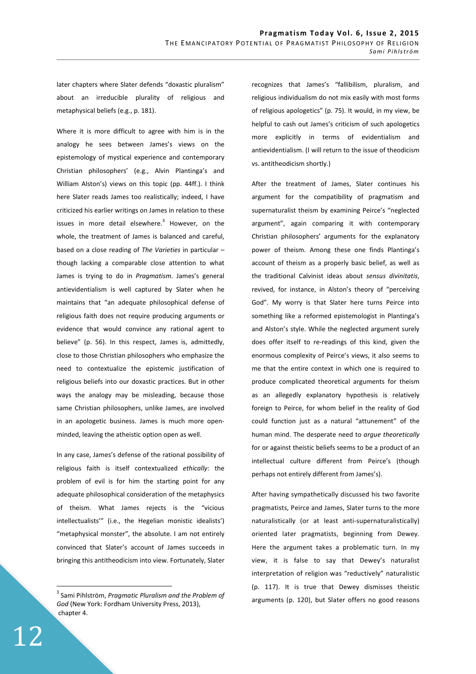later chapters where Slater defends "doxastic pluralism" about an irreducible plurality of religious and metaphysical beliefs (e.g., p. 181).

Where it is more difficult to agree with him is in the analogy he sees between James's views on the epistemology of mystical experience and contemporary Christian philosophers' (e.g., Alvin Plantinga's and William Alston's) views on this topic (pp. 44ff.). I think here Slater reads James too realistically; indeed, I have criticized his earlier writings on James in relation to these issues in more detail elsewhere. $3$  However, on the whole, the treatment of James is balanced and careful, based on a close reading of *The Varieties* in particular – though lacking a comparable close attention to what James is trying to do in *Pragmatism*. James's general antievidentialism is well captured by Slater when he maintains that "an adequate philosophical defense of religious faith does not require producing arguments or evidence that would convince any rational agent to believe" (p. 56). In this respect, James is, admittedly, close to those Christian philosophers who emphasize the need to contextualize the epistemic justification of religious beliefs into our doxastic practices. But in other ways the analogy may be misleading, because those same Christian philosophers, unlike James, are involved in an apologetic business. James is much more openminded, leaving the atheistic option open as well.

In any case, James's defense of the rational possibility of religious faith is itself contextualized *ethically*: the problem of evil is for him the starting point for any adequate philosophical consideration of the metaphysics of theism. What James rejects is the "vicious intellectualists'" (i.e., the Hegelian monistic idealists') "metaphysical monster", the absolute. I am not entirely convinced that Slater's account of James succeeds in bringing this antitheodicism into view. Fortunately, Slater

recognizes that James's "fallibilism, pluralism, and religious individualism do not mix easily with most forms of religious apologetics" (p. 75). It would, in my view, be helpful to cash out James's criticism of such apologetics more explicitly in terms of evidentialism and antievidentialism. (I will return to the issue of theodicism vs. antitheodicism shortly.)

After the treatment of James, Slater continues his argument for the compatibility of pragmatism and supernaturalist theism by examining Peirce's "neglected argument", again comparing it with contemporary Christian philosophers' arguments for the explanatory power of theism. Among these one finds Plantinga's account of theism as a properly basic belief, as well as the traditional Calvinist ideas about *sensus divinitatis*, revived, for instance, in Alston's theory of "perceiving God". My worry is that Slater here turns Peirce into something like a reformed epistemologist in Plantinga's and Alston's style. While the neglected argument surely does offer itself to re-readings of this kind, given the enormous complexity of Peirce's views, it also seems to me that the entire context in which one is required to produce complicated theoretical arguments for theism as an allegedly explanatory hypothesis is relatively foreign to Peirce, for whom belief in the reality of God could function just as a natural "attunement" of the human mind. The desperate need to *argue theoretically* for or against theistic beliefs seems to be a product of an intellectual culture different from Peirce's (though perhaps not entirely different from James's).

After having sympathetically discussed his two favorite pragmatists, Peirce and James, Slater turns to the more naturalistically (or at least anti-supernaturalistically) oriented later pragmatists, beginning from Dewey. Here the argument takes a problematic turn. In my view, it is false to say that Dewey's naturalist interpretation of religion was "reductively" naturalistic (p. 117). It is true that Dewey dismisses theistic arguments (p. 120), but Slater offers no good reasons

<sup>3</sup> Sami Pihlström, *Pragmatic Pluralism and the Problem of God* (New York: Fordham University Press, 2013), chapter 4.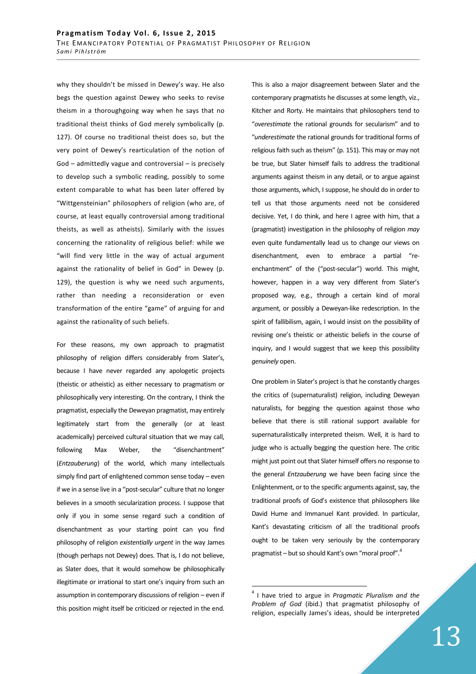why they shouldn't be missed in Dewey's way. He also begs the question against Dewey who seeks to revise theism in a thoroughgoing way when he says that no traditional theist thinks of God merely symbolically (p. 127). Of course no traditional theist does so, but the very point of Dewey's rearticulation of the notion of God – admittedly vague and controversial – is precisely to develop such a symbolic reading, possibly to some extent comparable to what has been later offered by "Wittgensteinian" philosophers of religion (who are, of course, at least equally controversial among traditional theists, as well as atheists). Similarly with the issues concerning the rationality of religious belief: while we "will find very little in the way of actual argument against the rationality of belief in God" in Dewey (p. 129), the question is why we need such arguments, rather than needing a reconsideration or even transformation of the entire "game" of arguing for and against the rationality of such beliefs.

For these reasons, my own approach to pragmatist philosophy of religion differs considerably from Slater's, because I have never regarded any apologetic projects (theistic or atheistic) as either necessary to pragmatism or philosophically very interesting. On the contrary, I think the pragmatist, especially the Deweyan pragmatist, may entirely legitimately start from the generally (or at least academically) perceived cultural situation that we may call, following Max Weber, the "disenchantment" (*Entzauberung*) of the world, which many intellectuals simply find part of enlightened common sense today – even if we in a sense live in a "post-secular" culture that no longer believes in a smooth secularization process. I suppose that only if you in some sense regard such a condition of disenchantment as your starting point can you find philosophy of religion *existentially urgent* in the way James (though perhaps not Dewey) does. That is, I do not believe, as Slater does, that it would somehow be philosophically illegitimate or irrational to start one's inquiry from such an assumption in contemporary discussions of religion – even if this position might itself be criticized or rejected in the end.

This is also a major disagreement between Slater and the contemporary pragmatists he discusses at some length, viz., Kitcher and Rorty. He maintains that philosophers tend to "*overestimate* the rational grounds for secularism" and to "*underestimate* the rational grounds for traditional forms of religious faith such as theism" (p. 151). This may or may not be true, but Slater himself fails to address the traditional arguments against theism in any detail, or to argue against those arguments, which, I suppose, he should do in order to tell us that those arguments need not be considered decisive. Yet, I do think, and here I agree with him, that a (pragmatist) investigation in the philosophy of religion *may* even quite fundamentally lead us to change our views on disenchantment, even to embrace a partial "reenchantment" of the ("post-secular") world. This might, however, happen in a way very different from Slater's proposed way, e.g., through a certain kind of moral argument, or possibly a Deweyan-like redescription. In the spirit of fallibilism, again, I would insist on the possibility of revising one's theistic or atheistic beliefs in the course of inquiry, and I would suggest that we keep this possibility *genuinely* open.

One problem in Slater's project is that he constantly charges the critics of (supernaturalist) religion, including Deweyan naturalists, for begging the question against those who believe that there is still rational support available for supernaturalistically interpreted theism. Well, it is hard to judge who is actually begging the question here. The critic might just point out that Slater himself offers no response to the general *Entzauberung* we have been facing since the Enlightenment, or to the specific arguments against, say, the traditional proofs of God's existence that philosophers like David Hume and Immanuel Kant provided. In particular, Kant's devastating criticism of all the traditional proofs ought to be taken very seriously by the contemporary pragmatist – but so should Kant's own "moral proof". 4

<sup>4</sup> I have tried to argue in *Pragmatic Pluralism and the Problem of God* (ibid.) that pragmatist philosophy of religion, especially James's ideas, should be interpreted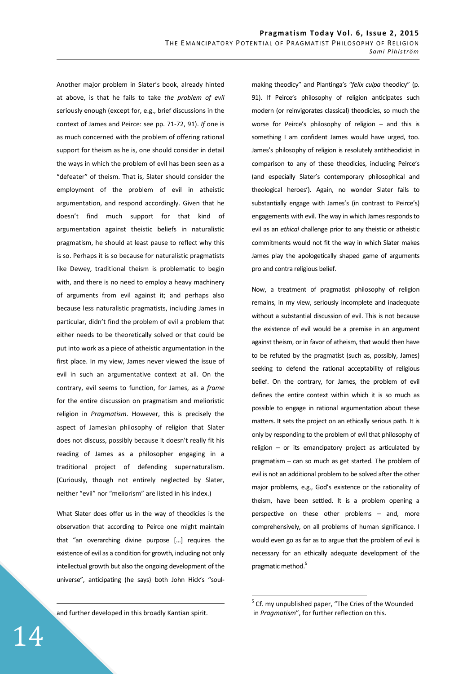Another major problem in Slater's book, already hinted at above, is that he fails to take *the problem of evil* seriously enough (except for, e.g., brief discussions in the context of James and Peirce: see pp. 71-72, 91). *If* one is as much concerned with the problem of offering rational support for theism as he is, one should consider in detail the ways in which the problem of evil has been seen as a "defeater" of theism. That is, Slater should consider the employment of the problem of evil in atheistic argumentation, and respond accordingly. Given that he doesn't find much support for that kind of argumentation against theistic beliefs in naturalistic pragmatism, he should at least pause to reflect why this is so. Perhaps it is so because for naturalistic pragmatists like Dewey, traditional theism is problematic to begin with, and there is no need to employ a heavy machinery of arguments from evil against it; and perhaps also because less naturalistic pragmatists, including James in particular, didn't find the problem of evil a problem that either needs to be theoretically solved or that could be put into work as a piece of atheistic argumentation in the first place. In my view, James never viewed the issue of evil in such an argumentative context at all. On the contrary, evil seems to function, for James, as a *frame* for the entire discussion on pragmatism and melioristic religion in *Pragmatism*. However, this is precisely the aspect of Jamesian philosophy of religion that Slater does not discuss, possibly because it doesn't really fit his reading of James as a philosopher engaging in a traditional project of defending supernaturalism. (Curiously, though not entirely neglected by Slater, neither "evil" nor "meliorism" are listed in his index.)

What Slater does offer us in the way of theodicies is the observation that according to Peirce one might maintain that "an overarching divine purpose […] requires the existence of evil as a condition for growth, including not only intellectual growth but also the ongoing development of the universe", anticipating (he says) both John Hick's "soul-

and further developed in this broadly Kantian spirit.

making theodicy" and Plantinga's "*felix culpa* theodicy" (p. 91). If Peirce's philosophy of religion anticipates such modern (or reinvigorates classical) theodicies, so much the worse for Peirce's philosophy of religion – and this is something I am confident James would have urged, too. James's philosophy of religion is resolutely antitheodicist in comparison to any of these theodicies, including Peirce's (and especially Slater's contemporary philosophical and theological heroes'). Again, no wonder Slater fails to substantially engage with James's (in contrast to Peirce's) engagements with evil. The way in which James responds to evil as an *ethical* challenge prior to any theistic or atheistic commitments would not fit the way in which Slater makes James play the apologetically shaped game of arguments pro and contra religious belief.

Now, a treatment of pragmatist philosophy of religion remains, in my view, seriously incomplete and inadequate without a substantial discussion of evil. This is not because the existence of evil would be a premise in an argument against theism, or in favor of atheism, that would then have to be refuted by the pragmatist (such as, possibly, James) seeking to defend the rational acceptability of religious belief. On the contrary, for James, the problem of evil defines the entire context within which it is so much as possible to engage in rational argumentation about these matters. It sets the project on an ethically serious path. It is only by responding to the problem of evil that philosophy of religion – or its emancipatory project as articulated by pragmatism – can so much as get started. The problem of evil is not an additional problem to be solved after the other major problems, e.g., God's existence or the rationality of theism, have been settled. It is a problem opening a perspective on these other problems – and, more comprehensively, on all problems of human significance. I would even go as far as to argue that the problem of evil is necessary for an ethically adequate development of the pragmatic method.<sup>5</sup>

 $\overline{a}$ 

<u>.</u>

 $5$  Cf. my unpublished paper, "The Cries of the Wounded in *Pragmatism*", for further reflection on this.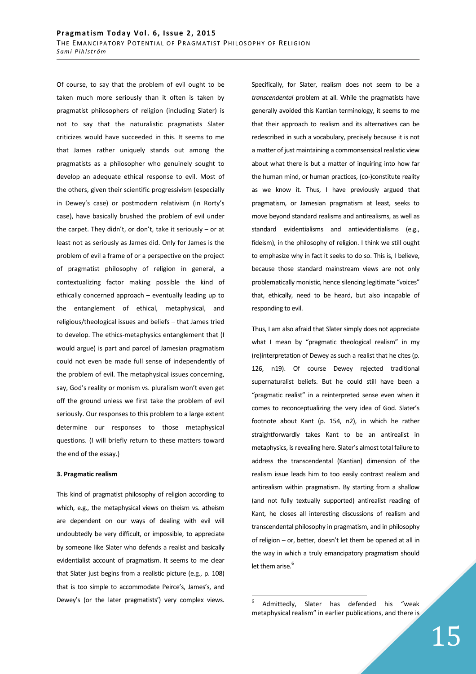Of course, to say that the problem of evil ought to be taken much more seriously than it often is taken by pragmatist philosophers of religion (including Slater) is not to say that the naturalistic pragmatists Slater criticizes would have succeeded in this. It seems to me that James rather uniquely stands out among the pragmatists as a philosopher who genuinely sought to develop an adequate ethical response to evil. Most of the others, given their scientific progressivism (especially in Dewey's case) or postmodern relativism (in Rorty's case), have basically brushed the problem of evil under the carpet. They didn't, or don't, take it seriously – or at least not as seriously as James did. Only for James is the problem of evil a frame of or a perspective on the project of pragmatist philosophy of religion in general, a contextualizing factor making possible the kind of ethically concerned approach – eventually leading up to the entanglement of ethical, metaphysical, and religious/theological issues and beliefs – that James tried to develop. The ethics-metaphysics entanglement that (I would argue) is part and parcel of Jamesian pragmatism could not even be made full sense of independently of the problem of evil. The metaphysical issues concerning, say, God's reality or monism vs. pluralism won't even get off the ground unless we first take the problem of evil seriously. Our responses to this problem to a large extent determine our responses to those metaphysical questions. (I will briefly return to these matters toward the end of the essay.)

### **3. Pragmatic realism**

This kind of pragmatist philosophy of religion according to which, e.g., the metaphysical views on theism vs. atheism are dependent on our ways of dealing with evil will undoubtedly be very difficult, or impossible, to appreciate by someone like Slater who defends a realist and basically evidentialist account of pragmatism. It seems to me clear that Slater just begins from a realistic picture (e.g., p. 108) that is too simple to accommodate Peirce's, James's, and Dewey's (or the later pragmatists') very complex views.

Specifically, for Slater, realism does not seem to be a *transcendental* problem at all. While the pragmatists have generally avoided this Kantian terminology, it seems to me that their approach to realism and its alternatives can be redescribed in such a vocabulary, precisely because it is not a matter of just maintaining a commonsensical realistic view about what there is but a matter of inquiring into how far the human mind, or human practices, (co-)constitute reality as we know it. Thus, I have previously argued that pragmatism, or Jamesian pragmatism at least, seeks to move beyond standard realisms and antirealisms, as well as standard evidentialisms and antievidentialisms (e.g., fideism), in the philosophy of religion. I think we still ought to emphasize why in fact it seeks to do so. This is, I believe, because those standard mainstream views are not only problematically monistic, hence silencing legitimate "voices" that, ethically, need to be heard, but also incapable of responding to evil.

Thus, I am also afraid that Slater simply does not appreciate what I mean by "pragmatic theological realism" in my (re)interpretation of Dewey as such a realist that he cites (p. 126, n19). Of course Dewey rejected traditional supernaturalist beliefs. But he could still have been a "pragmatic realist" in a reinterpreted sense even when it comes to reconceptualizing the very idea of God. Slater's footnote about Kant (p. 154, n2), in which he rather straightforwardly takes Kant to be an antirealist in metaphysics, is revealing here. Slater's almost total failure to address the transcendental (Kantian) dimension of the realism issue leads him to too easily contrast realism and antirealism within pragmatism. By starting from a shallow (and not fully textually supported) antirealist reading of Kant, he closes all interesting discussions of realism and transcendental philosophy in pragmatism, and in philosophy of religion – or, better, doesn't let them be opened at all in the way in which a truly emancipatory pragmatism should let them arise. $^6$ 

<sup>6</sup> Admittedly, Slater has defended his "weak metaphysical realism" in earlier publications, and there is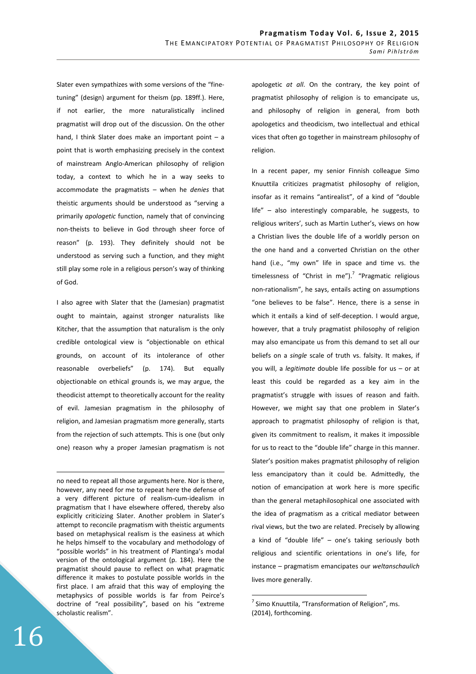Slater even sympathizes with some versions of the "finetuning" (design) argument for theism (pp. 189ff.). Here, if not earlier, the more naturalistically inclined pragmatist will drop out of the discussion. On the other hand. I think Slater does make an important point – a point that is worth emphasizing precisely in the context of mainstream Anglo-American philosophy of religion today, a context to which he in a way seeks to accommodate the pragmatists – when he *denies* that theistic arguments should be understood as "serving a primarily *apologetic* function, namely that of convincing non-theists to believe in God through sheer force of reason" (p. 193). They definitely should not be understood as serving such a function, and they might still play some role in a religious person's way of thinking of God.

I also agree with Slater that the (Jamesian) pragmatist ought to maintain, against stronger naturalists like Kitcher, that the assumption that naturalism is the only credible ontological view is "objectionable on ethical grounds, on account of its intolerance of other reasonable overbeliefs" (p. 174). But equally objectionable on ethical grounds is, we may argue, the theodicist attempt to theoretically account for the reality of evil. Jamesian pragmatism in the philosophy of religion, and Jamesian pragmatism more generally, starts from the rejection of such attempts. This is one (but only one) reason why a proper Jamesian pragmatism is not

no need to repeat all those arguments here. Nor is there, however, any need for me to repeat here the defense of a very different picture of realism-cum-idealism in pragmatism that I have elsewhere offered, thereby also explicitly criticizing Slater. Another problem in Slater's attempt to reconcile pragmatism with theistic arguments based on metaphysical realism is the easiness at which he helps himself to the vocabulary and methodology of "possible worlds" in his treatment of Plantinga's modal version of the ontological argument (p. 184). Here the pragmatist should pause to reflect on what pragmatic difference it makes to postulate possible worlds in the first place. I am afraid that this way of employing the metaphysics of possible worlds is far from Peirce's doctrine of "real possibility", based on his "extreme scholastic realism".

apologetic *at all*. On the contrary, the key point of pragmatist philosophy of religion is to emancipate us, and philosophy of religion in general, from both apologetics and theodicism, two intellectual and ethical vices that often go together in mainstream philosophy of religion.

In a recent paper, my senior Finnish colleague Simo Knuuttila criticizes pragmatist philosophy of religion, insofar as it remains "antirealist", of a kind of "double life" – also interestingly comparable, he suggests, to religious writers', such as Martin Luther's, views on how a Christian lives the double life of a worldly person on the one hand and a converted Christian on the other hand (i.e., "my own" life in space and time vs. the timelessness of "Christ in me").<sup>7</sup> "Pragmatic religious non-rationalism", he says, entails acting on assumptions "one believes to be false". Hence, there is a sense in which it entails a kind of self-deception. I would argue, however, that a truly pragmatist philosophy of religion may also emancipate us from this demand to set all our beliefs on a *single* scale of truth vs. falsity. It makes, if you will, a *legitimate* double life possible for us – or at least this could be regarded as a key aim in the pragmatist's struggle with issues of reason and faith. However, we might say that one problem in Slater's approach to pragmatist philosophy of religion is that, given its commitment to realism, it makes it impossible for us to react to the "double life" charge in this manner. Slater's position makes pragmatist philosophy of religion less emancipatory than it could be. Admittedly, the notion of emancipation at work here is more specific than the general metaphilosophical one associated with the idea of pragmatism as a critical mediator between rival views, but the two are related. Precisely by allowing a kind of "double life" – one's taking seriously both religious and scientific orientations in one's life, for instance – pragmatism emancipates our *weltanschaulich* lives more generally.

 $\overline{a}$ 

<u>.</u>

<sup>&</sup>lt;sup>7</sup> Simo Knuuttila, "Transformation of Religion", ms. (2014), forthcoming.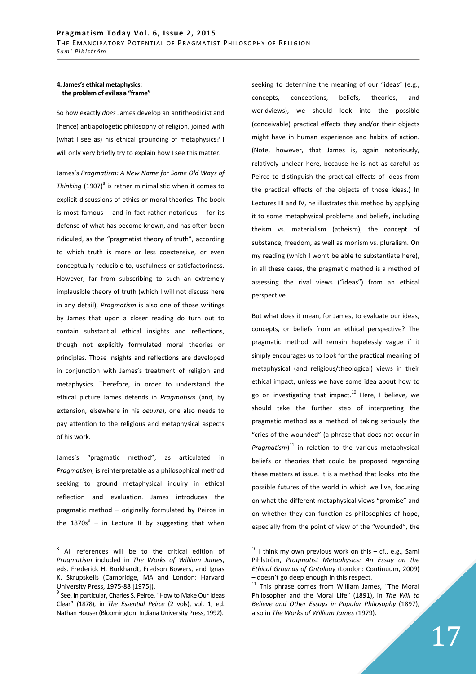## **4. James's ethical metaphysics: the problem of evil as a "frame"**

So how exactly *does* James develop an antitheodicist and (hence) antiapologetic philosophy of religion, joined with (what I see as) his ethical grounding of metaphysics? I will only very briefly try to explain how I see this matter.

James's *Pragmatism: A New Name for Some Old Ways of*  Thinking (1907)<sup>8</sup> is rather minimalistic when it comes to explicit discussions of ethics or moral theories. The book is most famous – and in fact rather notorious – for its defense of what has become known, and has often been ridiculed, as the "pragmatist theory of truth", according to which truth is more or less coextensive, or even conceptually reducible to, usefulness or satisfactoriness. However, far from subscribing to such an extremely implausible theory of truth (which I will not discuss here in any detail), *Pragmatism* is also one of those writings by James that upon a closer reading do turn out to contain substantial ethical insights and reflections, though not explicitly formulated moral theories or principles. Those insights and reflections are developed in conjunction with James's treatment of religion and metaphysics. Therefore, in order to understand the ethical picture James defends in *Pragmatism* (and, by extension, elsewhere in his *oeuvre*), one also needs to pay attention to the religious and metaphysical aspects of his work.

James's "pragmatic method", as articulated in *Pragmatism*, is reinterpretable as a philosophical method seeking to ground metaphysical inquiry in ethical reflection and evaluation. James introduces the pragmatic method – originally formulated by Peirce in the 1870s $^{9}$  – in Lecture II by suggesting that when seeking to determine the meaning of our "ideas" (e.g., concepts, conceptions, beliefs, theories, and worldviews), we should look into the possible (conceivable) practical effects they and/or their objects might have in human experience and habits of action. (Note, however, that James is, again notoriously, relatively unclear here, because he is not as careful as Peirce to distinguish the practical effects of ideas from the practical effects of the objects of those ideas.) In Lectures III and IV, he illustrates this method by applying it to some metaphysical problems and beliefs, including theism vs. materialism (atheism), the concept of substance, freedom, as well as monism vs. pluralism. On my reading (which I won't be able to substantiate here), in all these cases, the pragmatic method is a method of assessing the rival views ("ideas") from an ethical perspective.

But what does it mean, for James, to evaluate our ideas, concepts, or beliefs from an ethical perspective? The pragmatic method will remain hopelessly vague if it simply encourages us to look for the practical meaning of metaphysical (and religious/theological) views in their ethical impact, unless we have some idea about how to go on investigating that impact. $10$  Here, I believe, we should take the further step of interpreting the pragmatic method as a method of taking seriously the "cries of the wounded" (a phrase that does not occur in *Pragmatism*) <sup>11</sup> in relation to the various metaphysical beliefs or theories that could be proposed regarding these matters at issue. It is a method that looks into the possible futures of the world in which we live, focusing on what the different metaphysical views "promise" and on whether they can function as philosophies of hope, especially from the point of view of the "wounded", the

 8 All references will be to the critical edition of *Pragmatism* included in *The Works of William James*, eds. Frederick H. Burkhardt, Fredson Bowers, and Ignas K. Skrupskelis (Cambridge, MA and London: Harvard University Press, 1975-88 [1975]).

<sup>&</sup>lt;sup>9</sup> See, in particular, Charles S. Peirce, "How to Make Our Ideas Clear" (1878), in *The Essential Peirce* (2 vols), vol. 1, ed. Nathan Houser (Bloomington: Indiana University Press, 1992).

 $10$  I think my own previous work on this  $-$  cf., e.g., Sami Pihlström, *Pragmatist Metaphysics: An Essay on the Ethical Grounds of Ontology* (London: Continuum, 2009) – doesn't go deep enough in this respect.

 $11$  This phrase comes from William James, "The Moral Philosopher and the Moral Life" (1891), in *The Will to Believe and Other Essays in Popular Philosophy* (1897), also in *The Works of William James* (1979).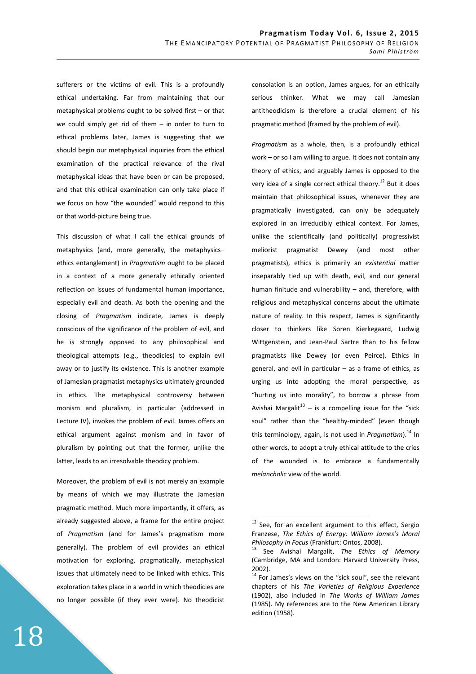sufferers or the victims of evil. This is a profoundly ethical undertaking. Far from maintaining that our metaphysical problems ought to be solved first – or that we could simply get rid of them – in order to turn to ethical problems later, James is suggesting that we should begin our metaphysical inquiries from the ethical examination of the practical relevance of the rival metaphysical ideas that have been or can be proposed, and that this ethical examination can only take place if we focus on how "the wounded" would respond to this or that world-picture being true.

This discussion of what I call the ethical grounds of metaphysics (and, more generally, the metaphysics– ethics entanglement) in *Pragmatism* ought to be placed in a context of a more generally ethically oriented reflection on issues of fundamental human importance, especially evil and death. As both the opening and the closing of *Pragmatism* indicate, James is deeply conscious of the significance of the problem of evil, and he is strongly opposed to any philosophical and theological attempts (e.g., theodicies) to explain evil away or to justify its existence. This is another example of Jamesian pragmatist metaphysics ultimately grounded in ethics. The metaphysical controversy between monism and pluralism, in particular (addressed in Lecture IV), invokes the problem of evil. James offers an ethical argument against monism and in favor of pluralism by pointing out that the former, unlike the latter, leads to an irresolvable theodicy problem.

Moreover, the problem of evil is not merely an example by means of which we may illustrate the Jamesian pragmatic method. Much more importantly, it offers, as already suggested above, a frame for the entire project of *Pragmatism* (and for James's pragmatism more generally). The problem of evil provides an ethical motivation for exploring, pragmatically, metaphysical issues that ultimately need to be linked with ethics. This exploration takes place in a world in which theodicies are no longer possible (if they ever were). No theodicist consolation is an option, James argues, for an ethically serious thinker. What we may call Jamesian antitheodicism is therefore a crucial element of his pragmatic method (framed by the problem of evil).

*Pragmatism* as a whole, then, is a profoundly ethical work – or so I am willing to argue. It does not contain any theory of ethics, and arguably James is opposed to the very idea of a single correct ethical theory.<sup>12</sup> But it does maintain that philosophical issues, whenever they are pragmatically investigated, can only be adequately explored in an irreducibly ethical context. For James, unlike the scientifically (and politically) progressivist meliorist pragmatist Dewey (and most other pragmatists), ethics is primarily an *existential* matter inseparably tied up with death, evil, and our general human finitude and vulnerability – and, therefore, with religious and metaphysical concerns about the ultimate nature of reality. In this respect, James is significantly closer to thinkers like Soren Kierkegaard, Ludwig Wittgenstein, and Jean-Paul Sartre than to his fellow pragmatists like Dewey (or even Peirce). Ethics in general, and evil in particular – as a frame of ethics, as urging us into adopting the moral perspective, as "hurting us into morality", to borrow a phrase from Avishai Margalit<sup>13</sup> – is a compelling issue for the "sick" soul" rather than the "healthy-minded" (even though this terminology, again, is not used in *Pragmatism*).<sup>14</sup> In other words, to adopt a truly ethical attitude to the cries of the wounded is to embrace a fundamentally *melancholic* view of the world.

See, for an excellent argument to this effect, Sergio Franzese, *The Ethics of Energy: William James's Moral Philosophy in Focus* (Frankfurt: Ontos, 2008).

<sup>13</sup> See Avishai Margalit, *The Ethics of Memory* (Cambridge, MA and London: Harvard University Press, 2002).

 $14$  For James's views on the "sick soul", see the relevant chapters of his *The Varieties of Religious Experience* (1902), also included in *The Works of William James* (1985). My references are to the New American Library edition (1958).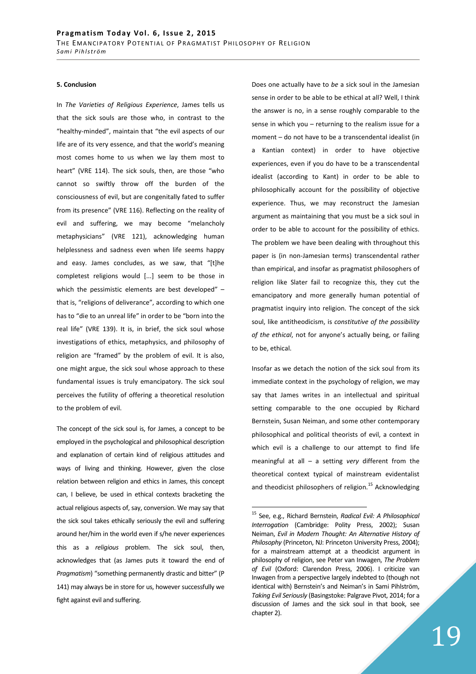#### **5. Conclusion**

In *The Varieties of Religious Experience*, James tells us that the sick souls are those who, in contrast to the "healthy-minded", maintain that "the evil aspects of our life are of its very essence, and that the world's meaning most comes home to us when we lay them most to heart" (VRE 114). The sick souls, then, are those "who cannot so swiftly throw off the burden of the consciousness of evil, but are congenitally fated to suffer from its presence" (VRE 116). Reflecting on the reality of evil and suffering, we may become "melancholy metaphysicians" (VRE 121), acknowledging human helplessness and sadness even when life seems happy and easy. James concludes, as we saw, that "[t]he completest religions would [...] seem to be those in which the pessimistic elements are best developed" that is, "religions of deliverance", according to which one has to "die to an unreal life" in order to be "born into the real life" (VRE 139). It is, in brief, the sick soul whose investigations of ethics, metaphysics, and philosophy of religion are "framed" by the problem of evil. It is also, one might argue, the sick soul whose approach to these fundamental issues is truly emancipatory. The sick soul perceives the futility of offering a theoretical resolution to the problem of evil.

The concept of the sick soul is, for James, a concept to be employed in the psychological and philosophical description and explanation of certain kind of religious attitudes and ways of living and thinking. However, given the close relation between religion and ethics in James, this concept can, I believe, be used in ethical contexts bracketing the actual religious aspects of, say, conversion. We may say that the sick soul takes ethically seriously the evil and suffering around her/him in the world even if s/he never experiences this as a *religious* problem. The sick soul, then, acknowledges that (as James puts it toward the end of *Pragmatism*) "something permanently drastic and bitter" (P 141) may always be in store for us, however successfully we fight against evil and suffering.

Does one actually have to *be* a sick soul in the Jamesian sense in order to be able to be ethical at all? Well, I think the answer is no, in a sense roughly comparable to the sense in which you – returning to the realism issue for a moment – do not have to be a transcendental idealist (in a Kantian context) in order to have objective experiences, even if you do have to be a transcendental idealist (according to Kant) in order to be able to philosophically account for the possibility of objective experience. Thus, we may reconstruct the Jamesian argument as maintaining that you must be a sick soul in order to be able to account for the possibility of ethics. The problem we have been dealing with throughout this paper is (in non-Jamesian terms) transcendental rather than empirical, and insofar as pragmatist philosophers of religion like Slater fail to recognize this, they cut the emancipatory and more generally human potential of pragmatist inquiry into religion. The concept of the sick soul, like antitheodicism, is *constitutive of the possibility of the ethical*, not for anyone's actually being, or failing to be, ethical.

Insofar as we detach the notion of the sick soul from its immediate context in the psychology of religion, we may say that James writes in an intellectual and spiritual setting comparable to the one occupied by Richard Bernstein, Susan Neiman, and some other contemporary philosophical and political theorists of evil, a context in which evil is a challenge to our attempt to find life meaningful at all – a setting *very* different from the theoretical context typical of mainstream evidentalist and theodicist philosophers of religion.<sup>15</sup> Acknowledging

<sup>15</sup> See, e.g., Richard Bernstein, *Radical Evil: A Philosophical Interrogation* (Cambridge: Polity Press, 2002); Susan Neiman, *Evil in Modern Thought: An Alternative History of Philosophy* (Princeton, NJ: Princeton University Press, 2004); for a mainstream attempt at a theodicist argument in philosophy of religion, see Peter van Inwagen, *The Problem of Evil* (Oxford: Clarendon Press, 2006). I criticize van Inwagen from a perspective largely indebted to (though not identical with) Bernstein's and Neiman's in Sami Pihlström, *Taking Evil Seriously* (Basingstoke: Palgrave Pivot, 2014; for a discussion of James and the sick soul in that book, see chapter 2).